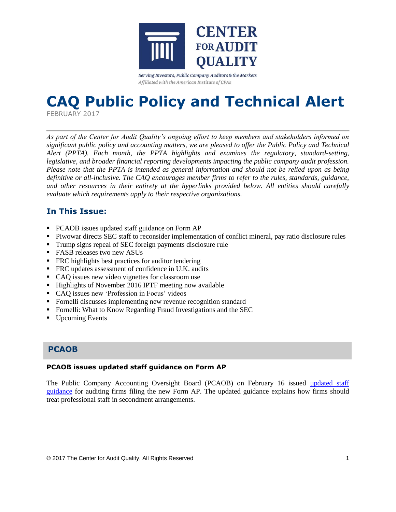

Serving Investors, Public Company Auditors & the Markets Affiliated with the American Institute of CPAs

# **CAQ Public Policy and Technical Alert**

FEBRUARY 2017

*As part of the Center for Audit Quality's ongoing effort to keep members and stakeholders informed on significant public policy and accounting matters, we are pleased to offer the Public Policy and Technical Alert (PPTA). Each month, the PPTA highlights and examines the regulatory, standard-setting, legislative, and broader financial reporting developments impacting the public company audit profession. Please note that the PPTA is intended as general information and should not be relied upon as being definitive or all-inclusive. The CAQ encourages member firms to refer to the rules, standards, guidance, and other resources in their entirety at the hyperlinks provided below. All entities should carefully evaluate which requirements apply to their respective organizations.*

# **In This Issue:**

- PCAOB issues updated staff guidance on Form AP
- Piwowar directs SEC staff to reconsider implementation of conflict mineral, pay ratio disclosure rules
- Trump signs repeal of SEC foreign payments disclosure rule
- **FASB** releases two new ASUs
- **FRC** highlights best practices for auditor tendering
- **FRC** updates assessment of confidence in U.K. audits
- CAQ issues new video vignettes for classroom use
- Highlights of November 2016 IPTF meeting now available
- CAQ issues new 'Profession in Focus' videos
- Fornelli discusses implementing new revenue recognition standard
- Fornelli: What to Know Regarding Fraud Investigations and the SEC
- Upcoming Events

## **PCAOB**

#### **PCAOB issues updated staff guidance on Form AP**

The Public Company Accounting Oversight Board (PCAOB) on February 16 issued [updated staff](https://pcaobus.org/Standards/Documents/2017-02-16-Form-AP-Staff-Guidance.pdf)  [guidance](https://pcaobus.org/Standards/Documents/2017-02-16-Form-AP-Staff-Guidance.pdf) for auditing firms filing the new Form AP. The updated guidance explains how firms should treat professional staff in secondment arrangements.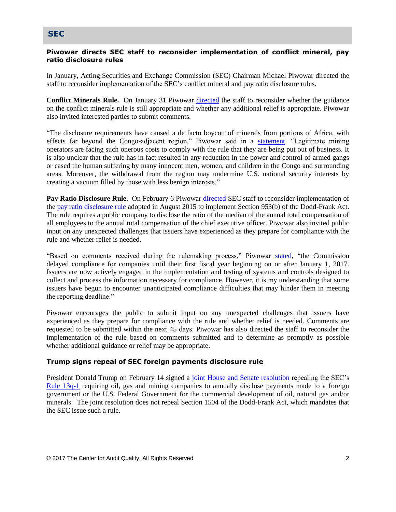### **SEC**

#### **Piwowar directs SEC staff to reconsider implementation of conflict mineral, pay ratio disclosure rules**

In January, Acting Securities and Exchange Commission (SEC) Chairman Michael Piwowar directed the staff to reconsider implementation of the SEC's conflict mineral and pay ratio disclosure rules.

**Conflict Minerals Rule.** On January 31 Piwowar [directed](https://www.sec.gov/corpfin/statement-on-sec-commission-conflict-minerals-rule.html) the staff to reconsider whether the guidance on the conflict minerals rule is still appropriate and whether any additional relief is appropriate. Piwowar also invited interested parties to submit comments.

"The disclosure requirements have caused a de facto boycott of minerals from portions of Africa, with effects far beyond the Congo-adjacent region," Piwowar said in a [statement.](https://www.sec.gov/news/statement/reconsideration-of-conflict-minerals-rule-implementation.html) "Legitimate mining operators are facing such onerous costs to comply with the rule that they are being put out of business. It is also unclear that the rule has in fact resulted in any reduction in the power and control of armed gangs or eased the human suffering by many innocent men, women, and children in the Congo and surrounding areas. Moreover, the withdrawal from the region may undermine U.S. national security interests by creating a vacuum filled by those with less benign interests."

Pay Ratio Disclosure Rule. On February 6 Piwowar [directed](https://www.sec.gov/news/statement/reconsideration-of-pay-ratio-rule-implementation.html) SEC staff to reconsider implementation of the [pay ratio disclosure rule](https://www.sec.gov/rules/final/2015/33-9877.pdf) adopted in August 2015 to implement Section 953(b) of the Dodd-Frank Act. The rule requires a public company to disclose the ratio of the median of the annual total compensation of all employees to the annual total compensation of the chief executive officer. Piwowar also invited public input on any unexpected challenges that issuers have experienced as they prepare for compliance with the rule and whether relief is needed.

"Based on comments received during the rulemaking process," Piwowar [stated,](https://www.sec.gov/news/statement/reconsideration-of-pay-ratio-rule-implementation.html) "the Commission delayed compliance for companies until their first fiscal year beginning on or after January 1, 2017. Issuers are now actively engaged in the implementation and testing of systems and controls designed to collect and process the information necessary for compliance. However, it is my understanding that some issuers have begun to encounter unanticipated compliance difficulties that may hinder them in meeting the reporting deadline."

Piwowar encourages the public to submit input on any unexpected challenges that issuers have experienced as they prepare for compliance with the rule and whether relief is needed. Comments are requested to be submitted within the next 45 days. Piwowar has also directed the staff to reconsider the implementation of the rule based on comments submitted and to determine as promptly as possible whether additional guidance or relief may be appropriate.

#### **Trump signs repeal of SEC foreign payments disclosure rule**

President Donald Trump on February 14 signed a [joint House and Senate resolution](https://www.congress.gov/bill/115th-congress/house-joint-resolution/41/text) repealing the SEC's [Rule 13q-1](https://www.sec.gov/rules/final/2016/34-78167.pdf) requiring oil, gas and mining companies to annually disclose payments made to a foreign government or the U.S. Federal Government for the commercial development of oil, natural gas and/or minerals. The joint resolution does not repeal Section 1504 of the Dodd-Frank Act, which mandates that the SEC issue such a rule.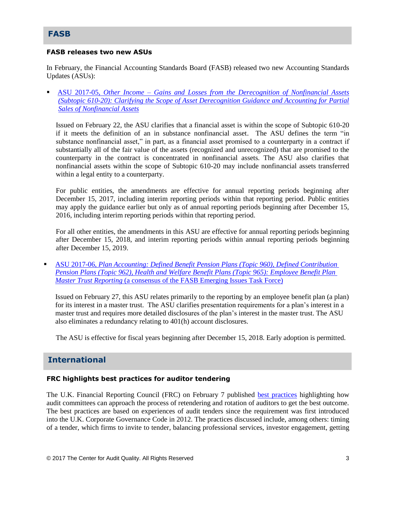## **FASB**

#### **FASB releases two new ASUs**

In February, the Financial Accounting Standards Board (FASB) released two new Accounting Standards Updates (ASUs):

 ASU 2017-05, *Other Income – [Gains and Losses from the Derecognition of Nonfinancial Assets](http://www.fasb.org/jsp/FASB/Document_C/DocumentPage?cid=1176168837607&acceptedDisclaimer=true)  [\(Subtopic 610-20\): Clarifying the Scope of Asset Derecognition Guidance and Accounting for Partial](http://www.fasb.org/jsp/FASB/Document_C/DocumentPage?cid=1176168837607&acceptedDisclaimer=true)  [Sales of Nonfinancial Assets](http://www.fasb.org/jsp/FASB/Document_C/DocumentPage?cid=1176168837607&acceptedDisclaimer=true)*

Issued on February 22, the ASU clarifies that a financial asset is within the scope of Subtopic 610-20 if it meets the definition of an in substance nonfinancial asset. The ASU defines the term "in substance nonfinancial asset," in part, as a financial asset promised to a counterparty in a contract if substantially all of the fair value of the assets (recognized and unrecognized) that are promised to the counterparty in the contract is concentrated in nonfinancial assets. The ASU also clarifies that nonfinancial assets within the scope of Subtopic 610-20 may include nonfinancial assets transferred within a legal entity to a counterparty.

For public entities, the amendments are effective for annual reporting periods beginning after December 15, 2017, including interim reporting periods within that reporting period. Public entities may apply the guidance earlier but only as of annual reporting periods beginning after December 15, 2016, including interim reporting periods within that reporting period.

For all other entities, the amendments in this ASU are effective for annual reporting periods beginning after December 15, 2018, and interim reporting periods within annual reporting periods beginning after December 15, 2019.

 ASU 2017-06, *[Plan Accounting: Defined Benefit Pension Plans \(Topic 960\), Defined Contribution](http://www.fasb.org/jsp/FASB/Document_C/DocumentPage?cid=1176168847131&acceptedDisclaimer=true)  [Pension Plans \(Topic 962\), Health and Welfare Benefit Plans \(Topic 965\): Employee Benefit Plan](http://www.fasb.org/jsp/FASB/Document_C/DocumentPage?cid=1176168847131&acceptedDisclaimer=true)  Master Trust Reporting* [\(a consensus of the FASB Emerging Issues Task Force\)](http://www.fasb.org/jsp/FASB/Document_C/DocumentPage?cid=1176168847131&acceptedDisclaimer=true)

Issued on February 27, this ASU relates primarily to the reporting by an employee benefit plan (a plan) for its interest in a master trust. The ASU clarifies presentation requirements for a plan's interest in a master trust and requires more detailed disclosures of the plan's interest in the master trust. The ASU also eliminates a redundancy relating to 401(h) account disclosures.

The ASU is effective for fiscal years beginning after December 15, 2018. Early adoption is permitted.

## **International**

#### **FRC highlights best practices for auditor tendering**

The U.K. Financial Reporting Council (FRC) on February 7 published [best practices](https://www.frc.org.uk/Our-Work/Publications/Audit-Quality-Review/Audit-Tenders-notes-on-best-practice.aspx) highlighting how audit committees can approach the process of retendering and rotation of auditors to get the best outcome. The best practices are based on experiences of audit tenders since the requirement was first introduced into the U.K. Corporate Governance Code in 2012. The practices discussed include, among others: timing of a tender, which firms to invite to tender, balancing professional services, investor engagement, getting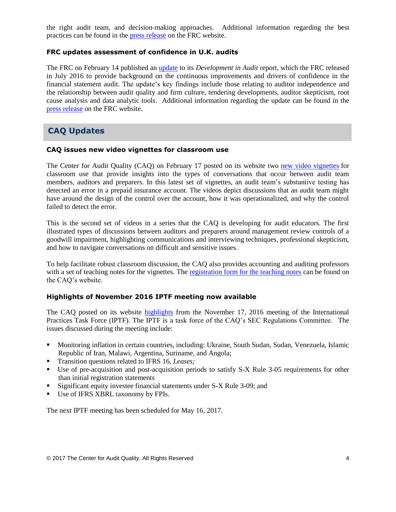the right audit team, and decision-making approaches. Additional information regarding the best practices can be found in the [press release](https://www.frc.org.uk/News-and-Events/FRC-Press/Press/2017/February/Audit-tendering-helps-improve-audit-confidence.aspx) on the FRC website.

#### **FRC updates assessment of confidence in U.K. audits**

The FRC on February 14 published an [update](https://frc.org.uk/Our-Work/Publications/FRC-Board/Developments-in-Audit-%E2%80%93-February-2017-update.pdf) to its *Development in Audit* report, which the FRC released in July 2016 to provide background on the continuous improvements and drivers of confidence in the financial statement audit. The update's key findings include those relating to auditor independence and the relationship between audit quality and firm culture, tendering developments, auditor skepticism, root cause analysis and data analytic tools. Additional information regarding the update can be found in the [press release](https://www.frc.org.uk/News-and-Events/FRC-Press/Press/2017/February/Strong-audit-firm-governance-and-leadership-necess.aspx) on the FRC website.

# **CAQ Updates**

#### **CAQ issues new video vignettes for classroom use**

The Center for Audit Quality (CAQ) on February 17 posted on its website two [new video vignettes](http://caq.informz.net/z/cjUucD9taT02MzIyNzg0JnA9MSZ1PTEwNzg3NDUyODMmbGk9NDEzNjk3NzE/index.html) for classroom use that provide insights into the types of conversations that occur between audit team members, auditors and preparers. In this latest set of vignettes, an audit team's substantive testing has detected an error in a prepaid insurance account. The videos depict discussions that an audit team might have around the design of the control over the account, how it was operationalized, and why the control failed to detect the error.

This is the second set of videos in a series that the CAQ is developing for audit educators. The first illustrated types of discussions between auditors and preparers around management review controls of a goodwill impairment, highlighting communications and interviewing techniques, professional skepticism, and how to navigate conversations on difficult and sensitive issues.

To help facilitate robust classroom discussion, the CAQ also provides accounting and auditing professors with a set of teaching notes for the vignettes. The [registration form for the teaching notes](http://caq.informz.net/z/cjUucD9taT02MzM2NTE0JnA9MSZ1PTEwNzg3NDUxNjAmbGk9NDE0ODc2NDA/index.html) can be found on the CAQ's website.

#### **Highlights of November 2016 IPTF meeting now available**

The CAQ posted on its website [highlights](http://www.thecaq.org/november-2016-iptf-joint-meeting-highlights) from the November 17, 2016 meeting of the International Practices Task Force (IPTF). The IPTF is a task force of the CAQ's SEC Regulations Committee.The issues discussed during the meeting include:

- Monitoring inflation in certain countries, including: Ukraine, South Sudan, Sudan, Venezuela, Islamic Republic of Iran, Malawi, Argentina, Suriname, and Angola;
- Transition questions related to IFRS 16, *Leases;*
- Use of pre-acquisition and post-acquisition periods to satisfy S-X Rule 3-05 requirements for other than initial registration statements
- Significant equity investee financial statements under S-X Rule 3-09; and
- Use of IFRS XBRL taxonomy by FPIs.

The next IPTF meeting has been scheduled for May 16, 2017.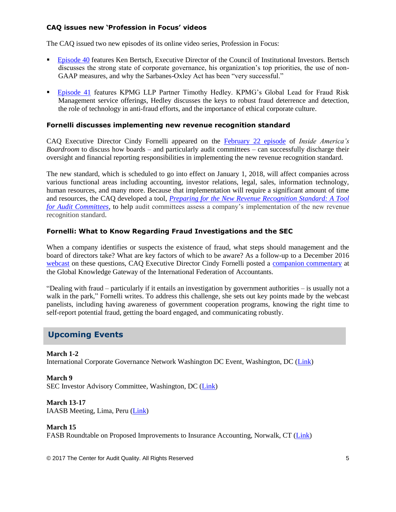#### **CAQ issues new 'Profession in Focus' videos**

The CAQ issued two new episodes of its online video series, Profession in Focus:

- [Episode 40](https://www.youtube.com/watch?v=SMi1U26LmDk) features Ken Bertsch, Executive Director of the Council of Institutional Investors. Bertsch discusses the strong state of corporate governance, his organization's top priorities, the use of non-GAAP measures, and why the Sarbanes-Oxley Act has been "very successful."
- [Episode 41](https://www.youtube.com/watch?v=AD4S6KntJUw&feature=youtu.be) features KPMG LLP Partner Timothy Hedley. KPMG's Global Lead for Fraud Risk Management service offerings, Hedley discusses the keys to robust fraud deterrence and detection, the role of technology in anti-fraud efforts, and the importance of ethical corporate culture.

#### **Fornelli discusses implementing new revenue recognition standard**

CAQ Executive Director Cindy Fornelli appeared on the [February 22 episode](http://boardroomresources.com/episode/company-prepared-new-revenue-recognition-standard/) of *Inside America's Boardroom* to discuss how boards – and particularly audit committees – can successfully discharge their oversight and financial reporting responsibilities in implementing the new revenue recognition standard.

The new standard, which is scheduled to go into effect on January 1, 2018, will affect companies across various functional areas including accounting, investor relations, legal, sales, information technology, human resources, and many more. Because that implementation will require a significant amount of time and resources, the CAQ developed a tool, *[Preparing for the New Revenue Recognition Standard: A Tool](http://www.thecaq.org/preparing-new-revenue-recognition-standard-tool-audit-committees)  [for Audit Committees](http://www.thecaq.org/preparing-new-revenue-recognition-standard-tool-audit-committees)*, to help audit committees assess a company's implementation of the new revenue recognition standard.

#### **Fornelli: What to Know Regarding Fraud Investigations and the SEC**

When a company identifies or suspects the existence of fraud, what steps should management and the board of directors take? What are key factors of which to be aware? As a follow-up to a December 2016 [webcast](https://www.youtube.com/watch?v=dwCPzVVHRF4&feature=youtu.be) on these questions, CAQ Executive Director Cindy Fornelli posted a [companion commentary](https://www.ifac.org/global-knowledge-gateway/risk-management-internal-control/discussion/fraud-investigations-and-sec) at the Global Knowledge Gateway of the International Federation of Accountants.

"Dealing with fraud – particularly if it entails an investigation by government authorities – is usually not a walk in the park," Fornelli writes. To address this challenge, she sets out key points made by the webcast panelists, including having awareness of government cooperation programs, knowing the right time to self-report potential fraud, getting the board engaged, and communicating robustly.

## **Upcoming Events**

**March 1-2** International Corporate Governance Network Washington DC Event, Washington, DC [\(Link\)](https://www.icgn.org/events/icgn-washington-dc-event)

**March 9** SEC Investor Advisory Committee, Washington, DC [\(Link\)](https://www.sec.gov/rules/other/2017/33-10306.pdf)

**March 13-17** IAASB Meeting, Lima, Peru [\(Link\)](http://www.iaasb.org/meetings/lima-peru)

#### **March 15**

FASB Roundtable on Proposed Improvements to Insurance Accounting, Norwalk, CT [\(Link\)](http://www.fasb.org/jsp/FASB/Page/SectionPage&cid=1218220079452)

© 2017 The Center for Audit Quality. All Rights Reserved 5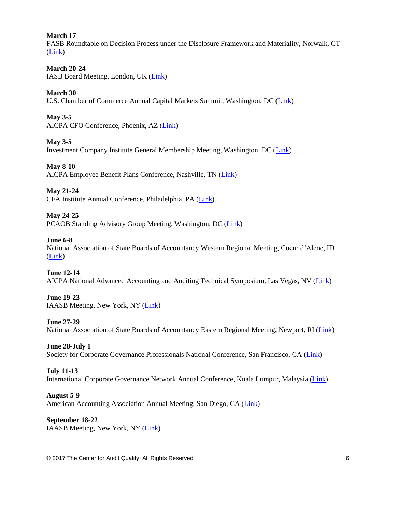#### **March 17**

FASB Roundtable on Decision Process under the Disclosure Framework and Materiality, Norwalk, CT [\(Link\)](http://www.fasb.org/jsp/FASB/Page/SectionPage&cid=1218220079452)

#### **March 20-24**

IASB Board Meeting, London, UK [\(Link\)](http://www.ifrs.org/Meetings/Pages/IASB-Meeting-March-2017.aspx)

#### **March 30**

U.S. Chamber of Commerce Annual Capital Markets Summit, Washington, DC [\(Link\)](http://www.centerforcapitalmarkets.com/event/11th-annual-capital-markets-summit/)

**May 3-5** AICPA CFO Conference, Phoenix, AZ [\(Link\)](http://www.aicpastore.com/AST/Main/CPA2BIZ_Primary/Accounting/PRDOVR~PC-CFO/PC-CFO.jsp)

**May 3-5** Investment Company Institute General Membership Meeting, Washington, DC [\(Link\)](https://www.ici.org/events)

**May 8-10** AICPA Employee Benefit Plans Conference, Nashville, TN [\(Link\)](http://www.aicpastore.com/EmployeeBenefitPlans/aicpa-employee-benefit-plans-conference/PRDOVR~PC-EMPBEN/PC-EMPBEN.jsp)

**May 21-24** CFA Institute Annual Conference, Philadelphia, PA [\(Link\)](https://www.cfainstitute.org/learning/events/Pages/05212017_121269.aspx)

#### **May 24-25**

PCAOB Standing Advisory Group Meeting, Washington, DC [\(Link\)](https://pcaobus.org/News/Events/Pages/SAG-meeting-May-2017.aspx)

#### **June 6-8**

National Association of State Boards of Accountancy Western Regional Meeting, Coeur d'Alene, ID [\(Link\)](https://www.nasba.org/blog/2011/01/26/2017westernregional/)

#### **June 12-14**

AICPA National Advanced Accounting and Auditing Technical Symposium, Las Vegas, NV [\(Link\)](http://www.aicpastore.com/AST/Main/CPA2BIZ_Primary/AuditAttest/PRDOVR~PC-NAA/PC-NAA.jsp)

#### **June 19-23**

IAASB Meeting, New York, NY [\(Link\)](http://www.iaasb.org/meetings/new-york-usa-15)

#### **June 27-29**

National Association of State Boards of Accountancy Eastern Regional Meeting, Newport, RI [\(Link\)](https://www.nasba.org/blog/2011/01/26/2017easternregional/)

#### **June 28-July 1**

Society for Corporate Governance Professionals National Conference, San Francisco, CA [\(Link\)](http://www.societycorpgov.org/governanceprofessionals/events/eventdescription?CalendarEventKey=851a8b9c-fb04-4269-8b94-9b7e9fd7b46c&EventTypeKey=9e2ded4f-5bc1-4948-9fce-5d6e00640a66&Home=/governanceprofessionals/events/calendar)

#### **July 11-13**

International Corporate Governance Network Annual Conference, Kuala Lumpur, Malaysia [\(Link\)](https://www.icgn.org/events/icgn-annual-conference-2017-kuala-lumpur)

#### **August 5-9**

American Accounting Association Annual Meeting, San Diego, CA [\(Link\)](http://aaahq.org/Meetings/2017/Annual-Meeting)

**September 18-22** IAASB Meeting, New York, NY [\(Link\)](http://www.iaasb.org/meetings/new-york-usa-16)

© 2017 The Center for Audit Quality. All Rights Reserved 6